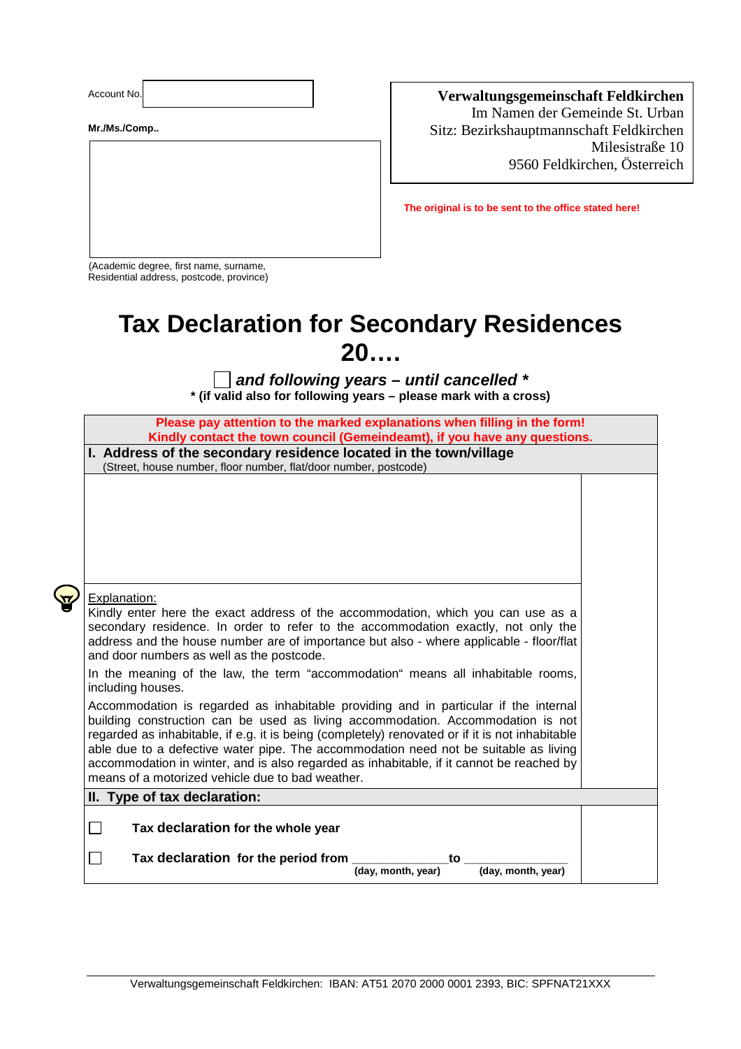Account No.:

**Mr./Ms./Comp..** 

## **Verwaltungsgemeinschaft Feldkirchen**  Im Namen der Gemeinde St. Urban

Sitz: Bezirkshauptmannschaft Feldkirchen Milesistraße 10 9560 Feldkirchen, Österreich

**The original is to be sent to the office stated here!** 

(Academic degree, first name, surname, Residential address, postcode, province)

## **Tax Declaration for Secondary Residences 20….**

 **and following years – until cancelled \* \* (if valid also for following years – please mark with a cross)**

| Please pay attention to the marked explanations when filling in the form!<br>Kindly contact the town council (Gemeindeamt), if you have any questions.                                                                                                                                                                                                                                                                                                                                                             |  |  |
|--------------------------------------------------------------------------------------------------------------------------------------------------------------------------------------------------------------------------------------------------------------------------------------------------------------------------------------------------------------------------------------------------------------------------------------------------------------------------------------------------------------------|--|--|
| I. Address of the secondary residence located in the town/village                                                                                                                                                                                                                                                                                                                                                                                                                                                  |  |  |
| (Street, house number, floor number, flat/door number, postcode)                                                                                                                                                                                                                                                                                                                                                                                                                                                   |  |  |
|                                                                                                                                                                                                                                                                                                                                                                                                                                                                                                                    |  |  |
|                                                                                                                                                                                                                                                                                                                                                                                                                                                                                                                    |  |  |
|                                                                                                                                                                                                                                                                                                                                                                                                                                                                                                                    |  |  |
|                                                                                                                                                                                                                                                                                                                                                                                                                                                                                                                    |  |  |
|                                                                                                                                                                                                                                                                                                                                                                                                                                                                                                                    |  |  |
| Explanation:<br>Kindly enter here the exact address of the accommodation, which you can use as a<br>secondary residence. In order to refer to the accommodation exactly, not only the<br>address and the house number are of importance but also - where applicable - floor/flat<br>and door numbers as well as the postcode.                                                                                                                                                                                      |  |  |
| In the meaning of the law, the term "accommodation" means all inhabitable rooms,<br>including houses.                                                                                                                                                                                                                                                                                                                                                                                                              |  |  |
| Accommodation is regarded as inhabitable providing and in particular if the internal<br>building construction can be used as living accommodation. Accommodation is not<br>regarded as inhabitable, if e.g. it is being (completely) renovated or if it is not inhabitable<br>able due to a defective water pipe. The accommodation need not be suitable as living<br>accommodation in winter, and is also regarded as inhabitable, if it cannot be reached by<br>means of a motorized vehicle due to bad weather. |  |  |
| II. Type of tax declaration:                                                                                                                                                                                                                                                                                                                                                                                                                                                                                       |  |  |
| Tax declaration for the whole year<br>$\Box$                                                                                                                                                                                                                                                                                                                                                                                                                                                                       |  |  |
| Tax declaration for the period from<br>$\overline{\phantom{0}}$<br>to<br>(day, month, year)<br>(day, month, year)                                                                                                                                                                                                                                                                                                                                                                                                  |  |  |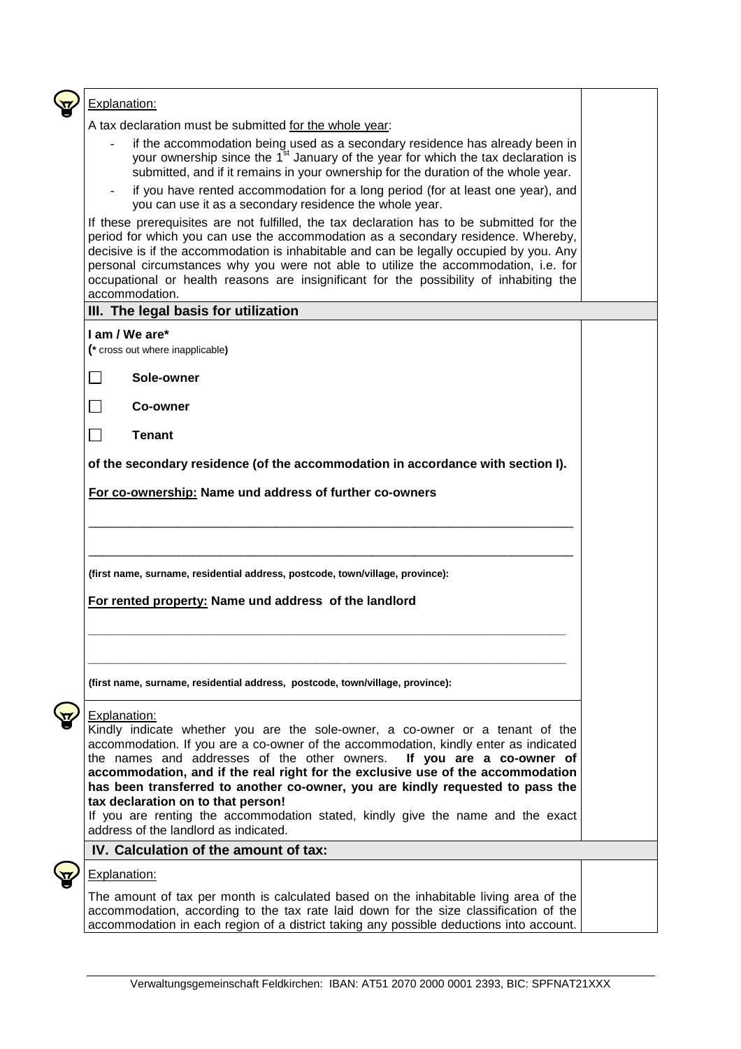| Explanation:                                                                                                                                                                                                                                                                                                                                                                                                                                                                 |  |
|------------------------------------------------------------------------------------------------------------------------------------------------------------------------------------------------------------------------------------------------------------------------------------------------------------------------------------------------------------------------------------------------------------------------------------------------------------------------------|--|
| A tax declaration must be submitted for the whole year:                                                                                                                                                                                                                                                                                                                                                                                                                      |  |
| if the accommodation being used as a secondary residence has already been in<br>$\blacksquare$<br>your ownership since the 1 <sup>st</sup> January of the year for which the tax declaration is<br>submitted, and if it remains in your ownership for the duration of the whole year.                                                                                                                                                                                        |  |
| if you have rented accommodation for a long period (for at least one year), and<br>you can use it as a secondary residence the whole year.                                                                                                                                                                                                                                                                                                                                   |  |
| If these prerequisites are not fulfilled, the tax declaration has to be submitted for the<br>period for which you can use the accommodation as a secondary residence. Whereby,<br>decisive is if the accommodation is inhabitable and can be legally occupied by you. Any<br>personal circumstances why you were not able to utilize the accommodation, i.e. for<br>occupational or health reasons are insignificant for the possibility of inhabiting the<br>accommodation. |  |
| III. The legal basis for utilization                                                                                                                                                                                                                                                                                                                                                                                                                                         |  |
| I am / We are*<br>(* cross out where inapplicable)                                                                                                                                                                                                                                                                                                                                                                                                                           |  |
| Sole-owner                                                                                                                                                                                                                                                                                                                                                                                                                                                                   |  |
| Co-owner                                                                                                                                                                                                                                                                                                                                                                                                                                                                     |  |
| $\Box$<br><b>Tenant</b>                                                                                                                                                                                                                                                                                                                                                                                                                                                      |  |
| of the secondary residence (of the accommodation in accordance with section I).                                                                                                                                                                                                                                                                                                                                                                                              |  |
| For co-ownership: Name und address of further co-owners                                                                                                                                                                                                                                                                                                                                                                                                                      |  |
|                                                                                                                                                                                                                                                                                                                                                                                                                                                                              |  |
|                                                                                                                                                                                                                                                                                                                                                                                                                                                                              |  |
|                                                                                                                                                                                                                                                                                                                                                                                                                                                                              |  |
|                                                                                                                                                                                                                                                                                                                                                                                                                                                                              |  |
| (first name, surname, residential address, postcode, town/village, province):                                                                                                                                                                                                                                                                                                                                                                                                |  |
| For rented property: Name und address of the landlord                                                                                                                                                                                                                                                                                                                                                                                                                        |  |
|                                                                                                                                                                                                                                                                                                                                                                                                                                                                              |  |
|                                                                                                                                                                                                                                                                                                                                                                                                                                                                              |  |
|                                                                                                                                                                                                                                                                                                                                                                                                                                                                              |  |
| (first name, surname, residential address, postcode, town/village, province):                                                                                                                                                                                                                                                                                                                                                                                                |  |
| <b>Explanation:</b>                                                                                                                                                                                                                                                                                                                                                                                                                                                          |  |
| Kindly indicate whether you are the sole-owner, a co-owner or a tenant of the                                                                                                                                                                                                                                                                                                                                                                                                |  |
| accommodation. If you are a co-owner of the accommodation, kindly enter as indicated                                                                                                                                                                                                                                                                                                                                                                                         |  |
| the names and addresses of the other owners.<br>If you are a co-owner of                                                                                                                                                                                                                                                                                                                                                                                                     |  |
| accommodation, and if the real right for the exclusive use of the accommodation                                                                                                                                                                                                                                                                                                                                                                                              |  |
| has been transferred to another co-owner, you are kindly requested to pass the<br>tax declaration on to that person!                                                                                                                                                                                                                                                                                                                                                         |  |
| If you are renting the accommodation stated, kindly give the name and the exact                                                                                                                                                                                                                                                                                                                                                                                              |  |
| address of the landlord as indicated.                                                                                                                                                                                                                                                                                                                                                                                                                                        |  |
| IV. Calculation of the amount of tax:                                                                                                                                                                                                                                                                                                                                                                                                                                        |  |
| <b>Explanation:</b>                                                                                                                                                                                                                                                                                                                                                                                                                                                          |  |
| The amount of tax per month is calculated based on the inhabitable living area of the                                                                                                                                                                                                                                                                                                                                                                                        |  |
| accommodation, according to the tax rate laid down for the size classification of the<br>accommodation in each region of a district taking any possible deductions into account.                                                                                                                                                                                                                                                                                             |  |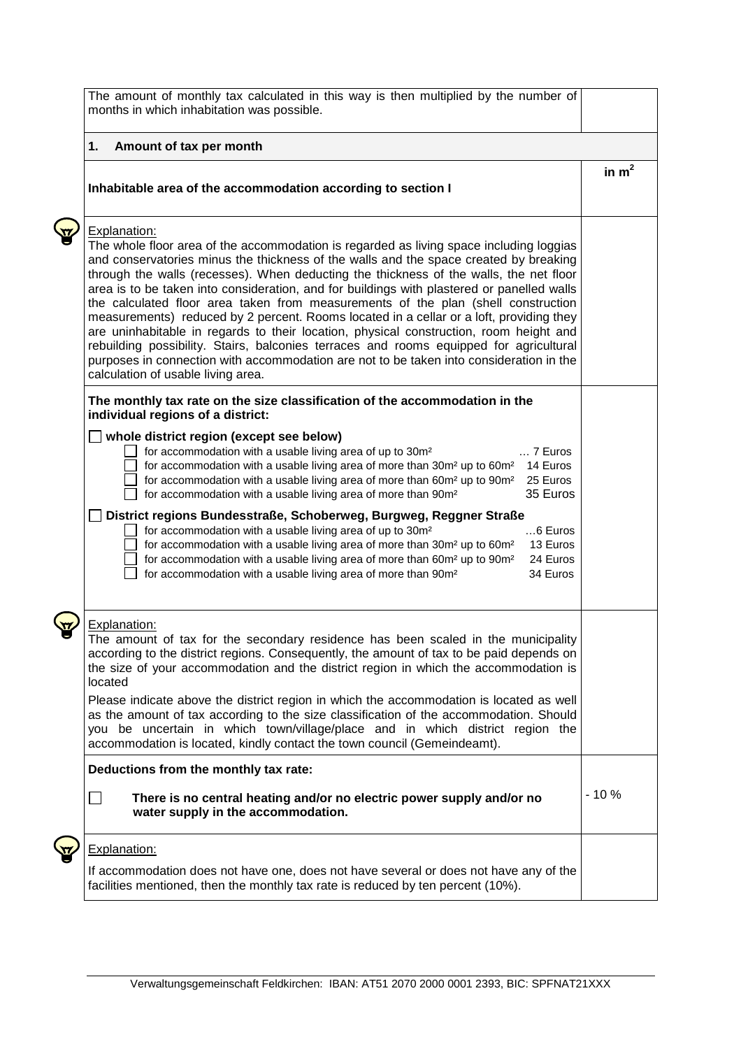|                         | The amount of monthly tax calculated in this way is then multiplied by the number of<br>months in which inhabitation was possible.                                                                                                                                                                                                                                                                                                                                                                                                                                                                                                                                                                                                                                                                                                                                            |         |
|-------------------------|-------------------------------------------------------------------------------------------------------------------------------------------------------------------------------------------------------------------------------------------------------------------------------------------------------------------------------------------------------------------------------------------------------------------------------------------------------------------------------------------------------------------------------------------------------------------------------------------------------------------------------------------------------------------------------------------------------------------------------------------------------------------------------------------------------------------------------------------------------------------------------|---------|
| 1.                      | Amount of tax per month                                                                                                                                                                                                                                                                                                                                                                                                                                                                                                                                                                                                                                                                                                                                                                                                                                                       |         |
|                         | Inhabitable area of the accommodation according to section I                                                                                                                                                                                                                                                                                                                                                                                                                                                                                                                                                                                                                                                                                                                                                                                                                  | in $m2$ |
| Explanation:            | The whole floor area of the accommodation is regarded as living space including loggias<br>and conservatories minus the thickness of the walls and the space created by breaking<br>through the walls (recesses). When deducting the thickness of the walls, the net floor<br>area is to be taken into consideration, and for buildings with plastered or panelled walls<br>the calculated floor area taken from measurements of the plan (shell construction<br>measurements) reduced by 2 percent. Rooms located in a cellar or a loft, providing they<br>are uninhabitable in regards to their location, physical construction, room height and<br>rebuilding possibility. Stairs, balconies terraces and rooms equipped for agricultural<br>purposes in connection with accommodation are not to be taken into consideration in the<br>calculation of usable living area. |         |
|                         | The monthly tax rate on the size classification of the accommodation in the<br>individual regions of a district:                                                                                                                                                                                                                                                                                                                                                                                                                                                                                                                                                                                                                                                                                                                                                              |         |
|                         | whole district region (except see below)<br>for accommodation with a usable living area of up to 30m <sup>2</sup><br>$\ldots$ 7 Euros<br>for accommodation with a usable living area of more than $30m^2$ up to $60m^2$ 14 Euros<br>for accommodation with a usable living area of more than 60m <sup>2</sup> up to 90m <sup>2</sup><br>25 Euros<br>35 Euros<br>for accommodation with a usable living area of more than 90m <sup>2</sup>                                                                                                                                                                                                                                                                                                                                                                                                                                     |         |
|                         | District regions Bundesstraße, Schoberweg, Burgweg, Reggner Straße<br>for accommodation with a usable living area of up to 30m <sup>2</sup><br>$6$ Euros<br>for accommodation with a usable living area of more than 30m <sup>2</sup> up to 60m <sup>2</sup><br>13 Euros<br>for accommodation with a usable living area of more than 60m <sup>2</sup> up to 90m <sup>2</sup><br>24 Euros<br>for accommodation with a usable living area of more than 90m <sup>2</sup><br>34 Euros                                                                                                                                                                                                                                                                                                                                                                                             |         |
| Explanation:<br>located | The amount of tax for the secondary residence has been scaled in the municipality<br>according to the district regions. Consequently, the amount of tax to be paid depends on<br>the size of your accommodation and the district region in which the accommodation is                                                                                                                                                                                                                                                                                                                                                                                                                                                                                                                                                                                                         |         |
|                         | Please indicate above the district region in which the accommodation is located as well<br>as the amount of tax according to the size classification of the accommodation. Should<br>you be uncertain in which town/village/place and in which district region the<br>accommodation is located, kindly contact the town council (Gemeindeamt).                                                                                                                                                                                                                                                                                                                                                                                                                                                                                                                                |         |
|                         | Deductions from the monthly tax rate:                                                                                                                                                                                                                                                                                                                                                                                                                                                                                                                                                                                                                                                                                                                                                                                                                                         |         |
| $\Box$                  | There is no central heating and/or no electric power supply and/or no<br>water supply in the accommodation.                                                                                                                                                                                                                                                                                                                                                                                                                                                                                                                                                                                                                                                                                                                                                                   | $-10%$  |
| Explanation:            | If accommodation does not have one, does not have several or does not have any of the<br>facilities mentioned, then the monthly tax rate is reduced by ten percent (10%).                                                                                                                                                                                                                                                                                                                                                                                                                                                                                                                                                                                                                                                                                                     |         |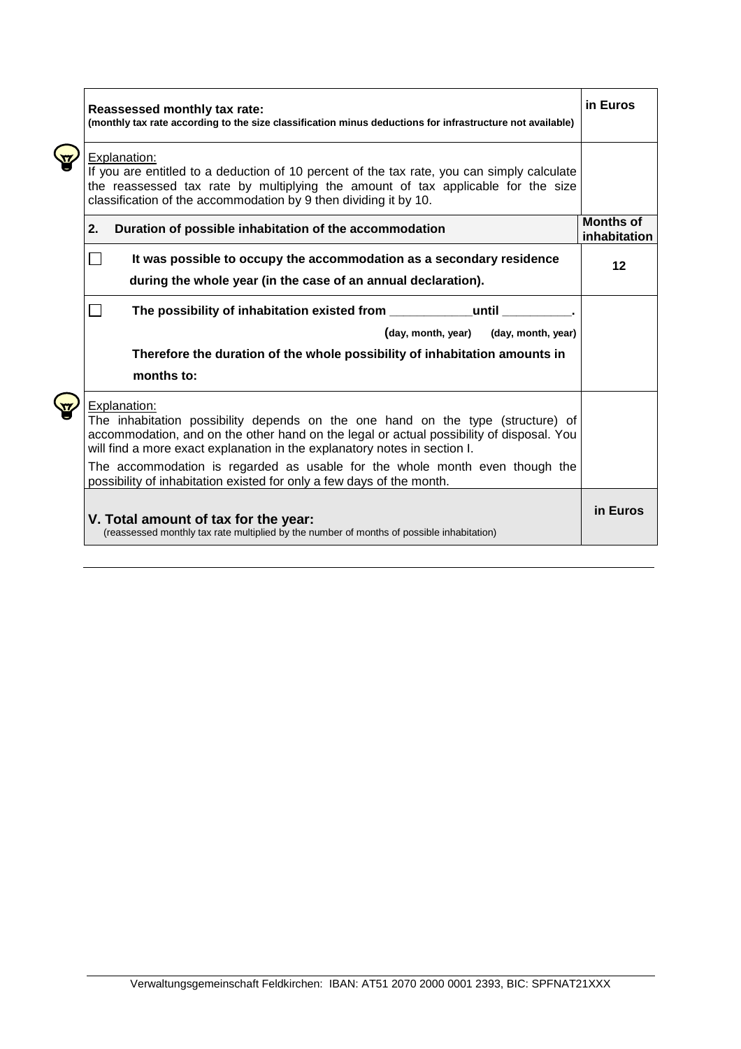|  | Reassessed monthly tax rate:<br>(monthly tax rate according to the size classification minus deductions for infrastructure not available)                                                                                                                                |                                  |  |
|--|--------------------------------------------------------------------------------------------------------------------------------------------------------------------------------------------------------------------------------------------------------------------------|----------------------------------|--|
|  | Explanation:<br>If you are entitled to a deduction of 10 percent of the tax rate, you can simply calculate<br>the reassessed tax rate by multiplying the amount of tax applicable for the size<br>classification of the accommodation by 9 then dividing it by 10.       |                                  |  |
|  | 2.<br>Duration of possible inhabitation of the accommodation                                                                                                                                                                                                             | <b>Months of</b><br>inhabitation |  |
|  | It was possible to occupy the accommodation as a secondary residence<br>during the whole year (in the case of an annual declaration).                                                                                                                                    | 12                               |  |
|  | The possibility of inhabitation existed from ___________<br>until<br><b>College</b>                                                                                                                                                                                      |                                  |  |
|  | (day, month, year)<br>(day, month, year)<br>Therefore the duration of the whole possibility of inhabitation amounts in<br>months to:                                                                                                                                     |                                  |  |
|  | Explanation:<br>The inhabitation possibility depends on the one hand on the type (structure) of<br>accommodation, and on the other hand on the legal or actual possibility of disposal. You<br>will find a more exact explanation in the explanatory notes in section I. |                                  |  |
|  | The accommodation is regarded as usable for the whole month even though the<br>possibility of inhabitation existed for only a few days of the month.                                                                                                                     |                                  |  |
|  | V. Total amount of tax for the year:<br>(reassessed monthly tax rate multiplied by the number of months of possible inhabitation)                                                                                                                                        | in Euros                         |  |